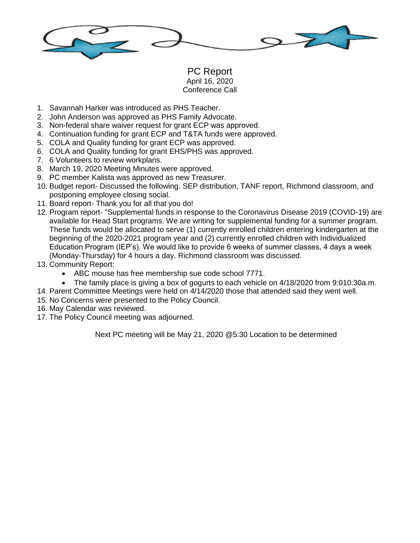

PC Report April 16, 2020 Conference Call

- 1. Savannah Harker was introduced as PHS Teacher.
- 2. John Anderson was approved as PHS Family Advocate.
- 3. Non-federal share waiver request for grant ECP was approved.
- 4. Continuation funding for grant ECP and T&TA funds were approved.
- 5. COLA and Quality funding for grant ECP was approved.
- 6. COLA and Quality funding for grant EHS/PHS was approved.
- 7. 6 Volunteers to review workplans.
- 8. March 19, 2020 Meeting Minutes were approved.
- 9. PC member Kalista was approved as new Treasurer.
- 10. Budget report- Discussed the following. SEP distribution, TANF report, Richmond classroom, and postponing employee closing social.
- 11. Board report- Thank you for all that you do!
- 12. Program report- "Supplemental funds in response to the Coronavirus Disease 2019 (COVID-19) are available for Head Start programs. We are writing for supplemental funding for a summer program. These funds would be allocated to serve (1) currently enrolled children entering kindergarten at the beginning of the 2020-2021 program year and (2) currently enrolled children with Individualized Education Program (IEP's). We would like to provide 6 weeks of summer classes, 4 days a week (Monday-Thursday) for 4 hours a day. Richmond classroom was discussed.
- 13. Community Report:
	- ABC mouse has free membership sue code school 7771.
	- The family place is giving a box of gogurts to each vehicle on 4/18/2020 from 9:010:30a.m.
- 14. Parent Committee Meetings were held on 4/14/2020 those that attended said they went well.
- 15. No Concerns were presented to the Policy Council.
- 16. May Calendar was reviewed.
- 17. The Policy Council meeting was adjourned.

Next PC meeting will be May 21, 2020 @5:30 Location to be determined